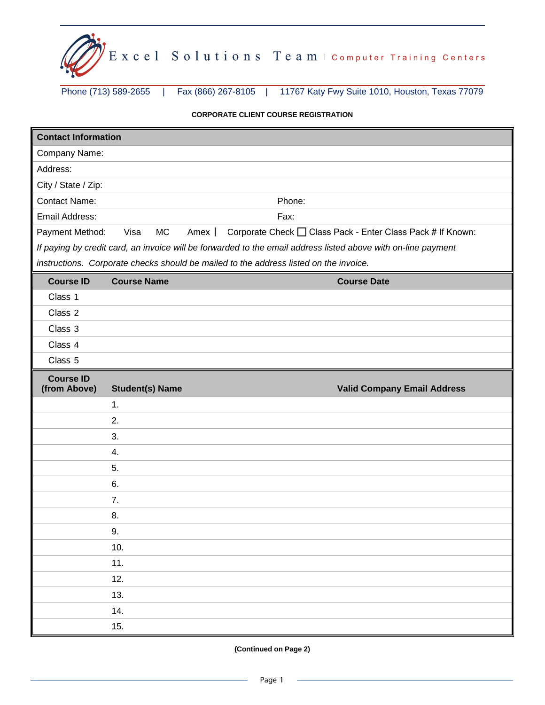

Phone (713) 589-2655 | Fax (866) 267-8105 | 11767 Katy Fwy Suite 1010, Houston, Texas 77079

## **CORPORATE CLIENT COURSE REGISTRATION**

| Company Name:<br>Address:<br>City / State / Zip:<br><b>Contact Name:</b><br>Phone:<br>Email Address:<br>Fax:  |
|---------------------------------------------------------------------------------------------------------------|
|                                                                                                               |
|                                                                                                               |
|                                                                                                               |
|                                                                                                               |
|                                                                                                               |
| Corporate Check □ Class Pack - Enter Class Pack # If Known:<br><b>MC</b><br>Payment Method:<br>Visa<br>Amex   |
| If paying by credit card, an invoice will be forwarded to the email address listed above with on-line payment |
| instructions. Corporate checks should be mailed to the address listed on the invoice.                         |
| <b>Course Name</b><br><b>Course ID</b><br><b>Course Date</b>                                                  |
| Class 1                                                                                                       |
| Class 2                                                                                                       |
| Class 3                                                                                                       |
| Class 4                                                                                                       |
| Class 5                                                                                                       |
| <b>Course ID</b><br>(from Above)                                                                              |
| <b>Student(s) Name</b><br><b>Valid Company Email Address</b><br>1.                                            |
| 2.                                                                                                            |
| 3.                                                                                                            |
| 4.                                                                                                            |
| 5.                                                                                                            |
| 6.                                                                                                            |
| 7.                                                                                                            |
| 8.                                                                                                            |
| 9.                                                                                                            |
| 10.                                                                                                           |
| 11.                                                                                                           |
| 12.                                                                                                           |
| 13.                                                                                                           |
| 14.                                                                                                           |
| 15.                                                                                                           |

## **(Continued on Page 2)**